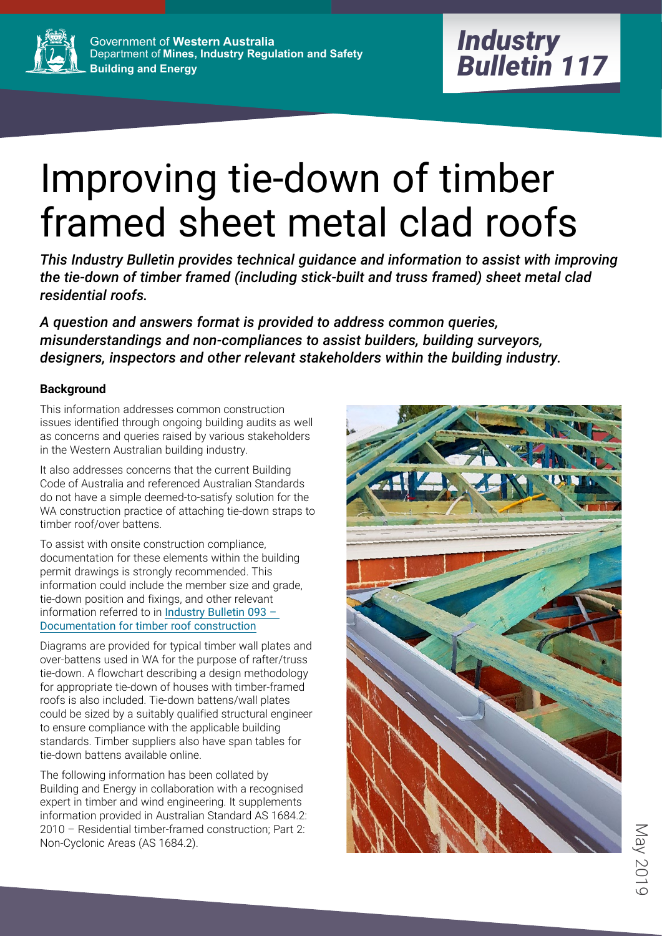

# Improving tie-down of timber framed sheet metal clad roofs

*This Industry Bulletin provides technical guidance and information to assist with improving the tie-down of timber framed (including stick-built and truss framed) sheet metal clad residential roofs.*

*A question and answers format is provided to address common queries, misunderstandings and non-compliances to assist builders, building surveyors, designers, inspectors and other relevant stakeholders within the building industry.*

# **Background**

This information addresses common construction issues identified through ongoing building audits as well as concerns and queries raised by various stakeholders in the Western Australian building industry.

It also addresses concerns that the current Building Code of Australia and referenced Australian Standards do not have a simple deemed-to-satisfy solution for the WA construction practice of attaching tie-down straps to timber roof/over battens.

To assist with onsite construction compliance, documentation for these elements within the building permit drawings is strongly recommended. This information could include the member size and grade, tie-down position and fixings, and other relevant information referred to in [Industry Bulletin 093 –](https://www.commerce.wa.gov.au/publications/building-commission-industry-bulletin-93-documentation-timber-framed-roof-construction)  [Documentation for timber roof construction](https://www.commerce.wa.gov.au/publications/building-commission-industry-bulletin-93-documentation-timber-framed-roof-construction)

Diagrams are provided for typical timber wall plates and over-battens used in WA for the purpose of rafter/truss tie-down. A flowchart describing a design methodology for appropriate tie-down of houses with timber-framed roofs is also included. Tie-down battens/wall plates could be sized by a suitably qualified structural engineer to ensure compliance with the applicable building standards. Timber suppliers also have span tables for tie-down battens available online.

The following information has been collated by Building and Energy in collaboration with a recognised expert in timber and wind engineering. It supplements information provided in Australian Standard AS 1684.2: 2010 – Residential timber-framed construction; Part 2: Non-Cyclonic Areas (AS 1684.2).



May 2015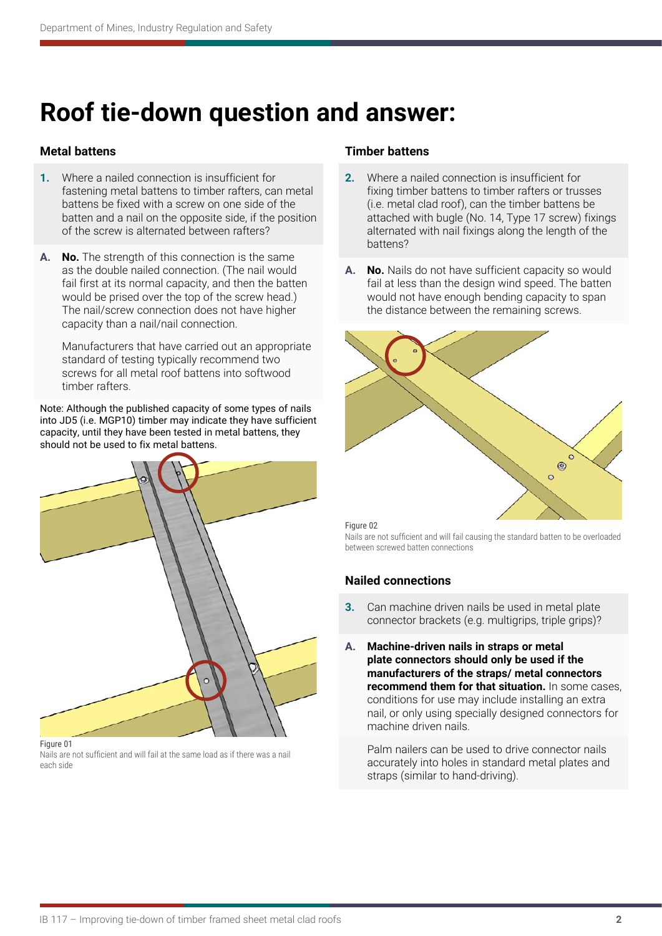# **Roof tie-down question and answer:**

# **Metal battens**

- **1.** Where a nailed connection is insufficient for fastening metal battens to timber rafters, can metal battens be fixed with a screw on one side of the batten and a nail on the opposite side, if the position of the screw is alternated between rafters?
- **A. No.** The strength of this connection is the same as the double nailed connection. (The nail would fail first at its normal capacity, and then the batten would be prised over the top of the screw head.) The nail/screw connection does not have higher capacity than a nail/nail connection.

Manufacturers that have carried out an appropriate standard of testing typically recommend two screws for all metal roof battens into softwood timber rafters.

Note: Although the published capacity of some types of nails into JD5 (i.e. MGP10) timber may indicate they have sufficient capacity, until they have been tested in metal battens, they should not be used to fix metal battens.



#### Figure 01

Nails are not sufficient and will fail at the same load as if there was a nail each side

## **Timber battens**

- **2.** Where a nailed connection is insufficient for fixing timber battens to timber rafters or trusses (i.e. metal clad roof), can the timber battens be attached with bugle (No. 14, Type 17 screw) fixings alternated with nail fixings along the length of the battens?
- **A. No.** Nails do not have sufficient capacity so would fail at less than the design wind speed. The batten would not have enough bending capacity to span the distance between the remaining screws.



#### Figure 02

Nails are not sufficient and will fail causing the standard batten to be overloaded between screwed batten connections

### **Nailed connections**

- **3.** Can machine driven nails be used in metal plate connector brackets (e.g. multigrips, triple grips)?
- **A. Machine-driven nails in straps or metal plate connectors should only be used if the manufacturers of the straps/ metal connectors recommend them for that situation.** In some cases, conditions for use may include installing an extra nail, or only using specially designed connectors for machine driven nails.

Palm nailers can be used to drive connector nails accurately into holes in standard metal plates and straps (similar to hand-driving).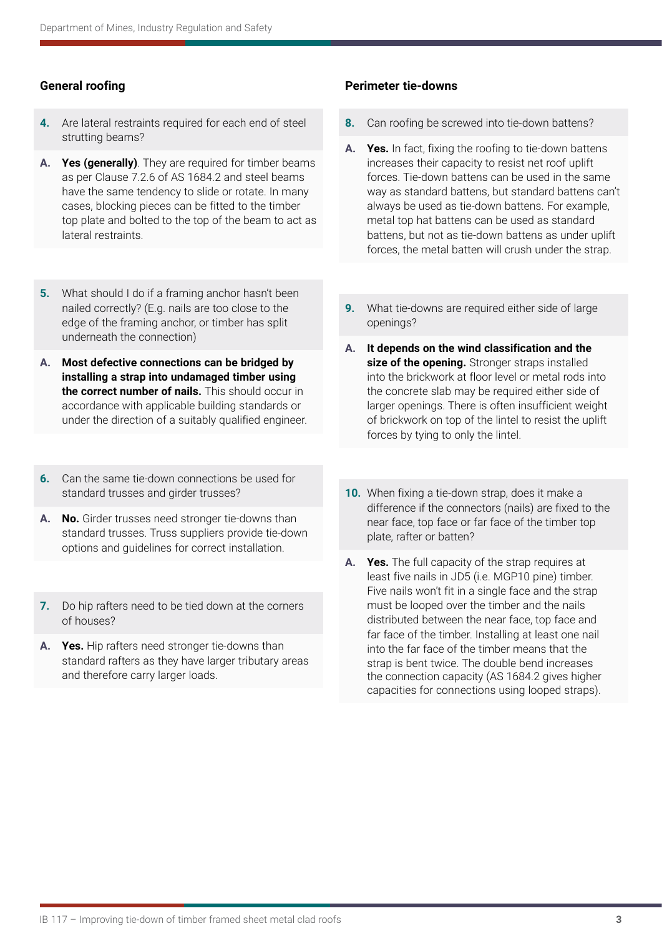# **General roofing**

- **4.** Are lateral restraints required for each end of steel strutting beams?
- **A. Yes (generally)**. They are required for timber beams as per Clause 7.2.6 of AS 1684.2 and steel beams have the same tendency to slide or rotate. In many cases, blocking pieces can be fitted to the timber top plate and bolted to the top of the beam to act as lateral restraints.
- **5.** What should I do if a framing anchor hasn't been nailed correctly? (E.g. nails are too close to the edge of the framing anchor, or timber has split underneath the connection)
- **A. Most defective connections can be bridged by installing a strap into undamaged timber using the correct number of nails.** This should occur in accordance with applicable building standards or under the direction of a suitably qualified engineer.
- **6.** Can the same tie-down connections be used for standard trusses and girder trusses?
- **A. No.** Girder trusses need stronger tie-downs than standard trusses. Truss suppliers provide tie-down options and guidelines for correct installation.
- **7.** Do hip rafters need to be tied down at the corners of houses?
- **A. Yes.** Hip rafters need stronger tie-downs than standard rafters as they have larger tributary areas and therefore carry larger loads.

# **Perimeter tie-downs**

- **8.** Can roofing be screwed into tie-down battens?
- **A. Yes.** In fact, fixing the roofing to tie-down battens increases their capacity to resist net roof uplift forces. Tie-down battens can be used in the same way as standard battens, but standard battens can't always be used as tie-down battens. For example, metal top hat battens can be used as standard battens, but not as tie-down battens as under uplift forces, the metal batten will crush under the strap.
- **9.** What tie-downs are required either side of large openings?
- **A. It depends on the wind classification and the size of the opening.** Stronger straps installed into the brickwork at floor level or metal rods into the concrete slab may be required either side of larger openings. There is often insufficient weight of brickwork on top of the lintel to resist the uplift forces by tying to only the lintel.
- **10.** When fixing a tie-down strap, does it make a difference if the connectors (nails) are fixed to the near face, top face or far face of the timber top plate, rafter or batten?
- **A. Yes.** The full capacity of the strap requires at least five nails in JD5 (i.e. MGP10 pine) timber. Five nails won't fit in a single face and the strap must be looped over the timber and the nails distributed between the near face, top face and far face of the timber. Installing at least one nail into the far face of the timber means that the strap is bent twice. The double bend increases the connection capacity (AS 1684.2 gives higher capacities for connections using looped straps).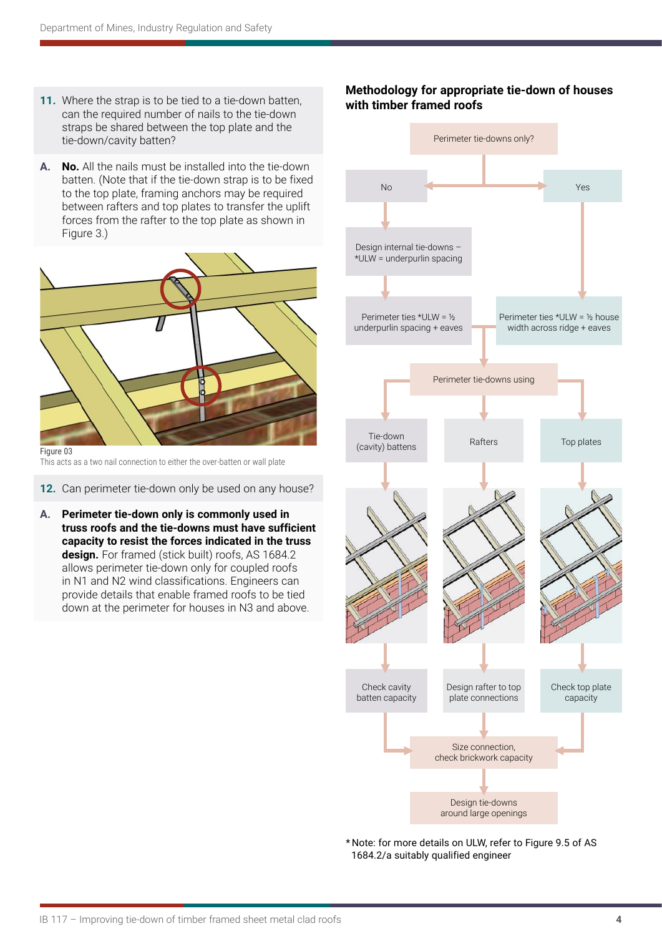- **11.** Where the strap is to be tied to a tie-down batten, can the required number of nails to the tie-down straps be shared between the top plate and the tie-down/cavity batten?
- **A. No.** All the nails must be installed into the tie-down batten. (Note that if the tie-down strap is to be fixed to the top plate, framing anchors may be required between rafters and top plates to transfer the uplift forces from the rafter to the top plate as shown in Figure 3.)



This acts as a two nail connection to either the over-batten or wall plate

**12.** Can perimeter tie-down only be used on any house?

**A. Perimeter tie-down only is commonly used in truss roofs and the tie-downs must have sufficient capacity to resist the forces indicated in the truss design.** For framed (stick built) roofs, AS 1684.2 allows perimeter tie-down only for coupled roofs in N1 and N2 wind classifications. Engineers can provide details that enable framed roofs to be tied down at the perimeter for houses in N3 and above.

# **Methodology for appropriate tie-down of houses with timber framed roofs**



\* Note: for more details on ULW, refer to Figure 9.5 of AS 1684.2/a suitably qualified engineer